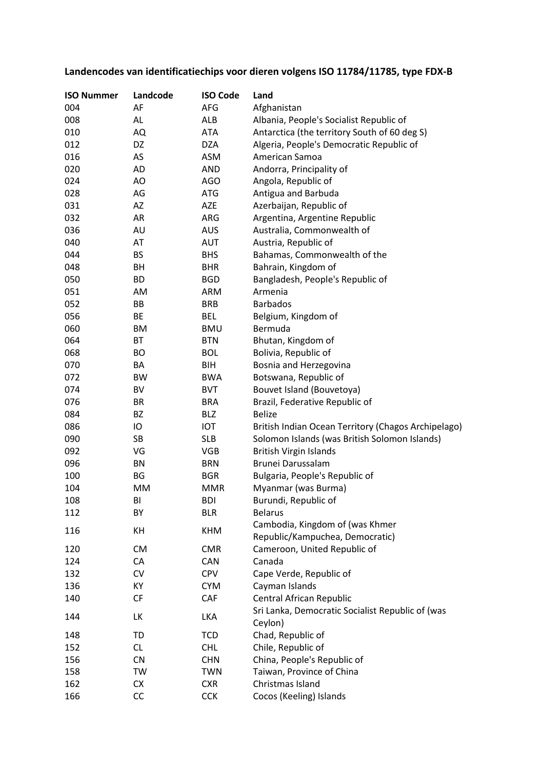## **Landencodes van identificatiechips voor dieren volgens ISO 11784/11785, type FDX-B**

| <b>ISO Nummer</b> | Landcode  | <b>ISO Code</b> | Land                                                        |
|-------------------|-----------|-----------------|-------------------------------------------------------------|
| 004               | AF        | AFG             | Afghanistan                                                 |
| 008               | AL        | ALB             | Albania, People's Socialist Republic of                     |
| 010               | AQ        | ATA             | Antarctica (the territory South of 60 deg S)                |
| 012               | DZ        | <b>DZA</b>      | Algeria, People's Democratic Republic of                    |
| 016               | AS        | ASM             | American Samoa                                              |
| 020               | AD        | <b>AND</b>      | Andorra, Principality of                                    |
| 024               | AO        | <b>AGO</b>      | Angola, Republic of                                         |
| 028               | AG        | <b>ATG</b>      | Antigua and Barbuda                                         |
| 031               | AZ        | AZE             | Azerbaijan, Republic of                                     |
| 032               | AR        | ARG             | Argentina, Argentine Republic                               |
| 036               | AU        | <b>AUS</b>      | Australia, Commonwealth of                                  |
| 040               | AT        | <b>AUT</b>      | Austria, Republic of                                        |
| 044               | BS        | <b>BHS</b>      | Bahamas, Commonwealth of the                                |
| 048               | BH        | <b>BHR</b>      | Bahrain, Kingdom of                                         |
| 050               | <b>BD</b> | <b>BGD</b>      | Bangladesh, People's Republic of                            |
| 051               | AM        | <b>ARM</b>      | Armenia                                                     |
| 052               | ВB        | <b>BRB</b>      | <b>Barbados</b>                                             |
| 056               | ВE        | <b>BEL</b>      | Belgium, Kingdom of                                         |
| 060               | ВM        | <b>BMU</b>      | Bermuda                                                     |
| 064               | ВT        | <b>BTN</b>      | Bhutan, Kingdom of                                          |
| 068               | BO        | <b>BOL</b>      | Bolivia, Republic of                                        |
| 070               | BA        | BIH             | Bosnia and Herzegovina                                      |
| 072               | <b>BW</b> | <b>BWA</b>      | Botswana, Republic of                                       |
| 074               | BV        | <b>BVT</b>      | Bouvet Island (Bouvetoya)                                   |
| 076               | BR        | <b>BRA</b>      | Brazil, Federative Republic of                              |
| 084               | BZ        | BLZ             | <b>Belize</b>                                               |
| 086               | IO        | IOT             | British Indian Ocean Territory (Chagos Archipelago)         |
| 090               | SB        | <b>SLB</b>      | Solomon Islands (was British Solomon Islands)               |
| 092               | VG        | <b>VGB</b>      | <b>British Virgin Islands</b>                               |
| 096               | BN        | <b>BRN</b>      | Brunei Darussalam                                           |
| 100               | BG        | <b>BGR</b>      | Bulgaria, People's Republic of                              |
| 104               | MM        | <b>MMR</b>      | Myanmar (was Burma)                                         |
| 108               | BI        | <b>BDI</b>      | Burundi, Republic of                                        |
| 112               | BY        | <b>BLR</b>      | <b>Belarus</b>                                              |
| 116               | KH        | <b>KHM</b>      | Cambodia, Kingdom of (was Khmer                             |
|                   |           |                 | Republic/Kampuchea, Democratic)                             |
| 120               | <b>CM</b> | <b>CMR</b>      | Cameroon, United Republic of                                |
| 124               | CA        | CAN             | Canada                                                      |
| 132               | CV        | <b>CPV</b>      | Cape Verde, Republic of                                     |
| 136               | КY        | <b>CYM</b>      | Cayman Islands                                              |
| 140               | <b>CF</b> | CAF             | Central African Republic                                    |
| 144               | LK        | LKA             | Sri Lanka, Democratic Socialist Republic of (was<br>Ceylon) |
| 148               | TD        | <b>TCD</b>      | Chad, Republic of                                           |
| 152               | <b>CL</b> | <b>CHL</b>      | Chile, Republic of                                          |
| 156               | CN        | <b>CHN</b>      | China, People's Republic of                                 |
| 158               | TW        | <b>TWN</b>      | Taiwan, Province of China                                   |
| 162               | CX        | <b>CXR</b>      | Christmas Island                                            |
| 166               | CC        | <b>CCK</b>      | Cocos (Keeling) Islands                                     |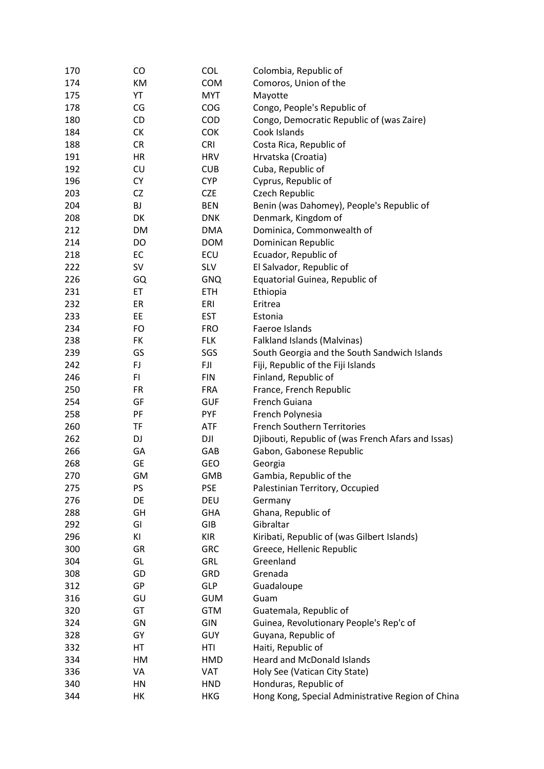| 170 | CO        | <b>COL</b> | Colombia, Republic of                              |
|-----|-----------|------------|----------------------------------------------------|
| 174 | KM        | <b>COM</b> | Comoros, Union of the                              |
| 175 | YT        | <b>MYT</b> | Mayotte                                            |
| 178 | CG        | <b>COG</b> | Congo, People's Republic of                        |
| 180 | CD        | COD        | Congo, Democratic Republic of (was Zaire)          |
| 184 | СK        | <b>COK</b> | Cook Islands                                       |
| 188 | CR        | <b>CRI</b> | Costa Rica, Republic of                            |
| 191 | HR        | <b>HRV</b> | Hrvatska (Croatia)                                 |
| 192 | CU        | <b>CUB</b> | Cuba, Republic of                                  |
| 196 | <b>CY</b> | <b>CYP</b> | Cyprus, Republic of                                |
| 203 | CZ        | <b>CZE</b> | Czech Republic                                     |
| 204 | <b>BJ</b> | <b>BEN</b> | Benin (was Dahomey), People's Republic of          |
| 208 | DK        | <b>DNK</b> |                                                    |
|     |           |            | Denmark, Kingdom of                                |
| 212 | DM        | <b>DMA</b> | Dominica, Commonwealth of                          |
| 214 | DO        | <b>DOM</b> | Dominican Republic                                 |
| 218 | EC        | ECU        | Ecuador, Republic of                               |
| 222 | <b>SV</b> | <b>SLV</b> | El Salvador, Republic of                           |
| 226 | GQ        | <b>GNQ</b> | Equatorial Guinea, Republic of                     |
| 231 | ET        | <b>ETH</b> | Ethiopia                                           |
| 232 | ER        | ERI        | Eritrea                                            |
| 233 | EE        | <b>EST</b> | Estonia                                            |
| 234 | FO        | <b>FRO</b> | Faeroe Islands                                     |
| 238 | <b>FK</b> | <b>FLK</b> | Falkland Islands (Malvinas)                        |
| 239 | GS        | SGS        | South Georgia and the South Sandwich Islands       |
| 242 | FJ        | FJI        | Fiji, Republic of the Fiji Islands                 |
| 246 | FI        | <b>FIN</b> | Finland, Republic of                               |
| 250 | <b>FR</b> | <b>FRA</b> | France, French Republic                            |
| 254 | GF        | <b>GUF</b> | French Guiana                                      |
| 258 | PF        | <b>PYF</b> | French Polynesia                                   |
| 260 | <b>TF</b> | <b>ATF</b> | <b>French Southern Territories</b>                 |
| 262 | DJ        | DJI        | Djibouti, Republic of (was French Afars and Issas) |
| 266 | GA        | GAB        | Gabon, Gabonese Republic                           |
| 268 | <b>GE</b> | GEO        | Georgia                                            |
| 270 | GM        | <b>GMB</b> | Gambia, Republic of the                            |
| 275 | PS        | <b>PSE</b> | Palestinian Territory, Occupied                    |
| 276 | DE        | DEU        | Germany                                            |
| 288 | GH        | <b>GHA</b> | Ghana, Republic of                                 |
| 292 | GI        | GIB        | Gibraltar                                          |
| 296 | ΚI        | <b>KIR</b> | Kiribati, Republic of (was Gilbert Islands)        |
| 300 | GR        | <b>GRC</b> | Greece, Hellenic Republic                          |
| 304 | GL        | GRL        | Greenland                                          |
| 308 | GD        | GRD        | Grenada                                            |
| 312 | GP        | <b>GLP</b> | Guadaloupe                                         |
| 316 | GU        | <b>GUM</b> | Guam                                               |
| 320 | GT        | <b>GTM</b> | Guatemala, Republic of                             |
| 324 | GN        | GIN        | Guinea, Revolutionary People's Rep'c of            |
| 328 | GY        | <b>GUY</b> | Guyana, Republic of                                |
| 332 | HT        | HTI        | Haiti, Republic of                                 |
| 334 | HM        | HMD        | <b>Heard and McDonald Islands</b>                  |
| 336 | VA        | VAT        | Holy See (Vatican City State)                      |
| 340 | HN        | <b>HND</b> | Honduras, Republic of                              |
| 344 | НK        | <b>HKG</b> | Hong Kong, Special Administrative Region of China  |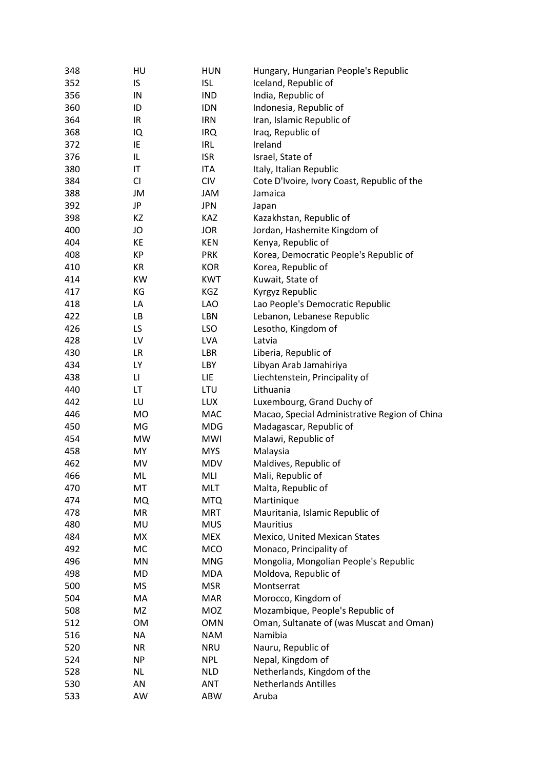| 348 | HU        | <b>HUN</b> | Hungary, Hungarian People's Republic          |
|-----|-----------|------------|-----------------------------------------------|
| 352 | IS        | <b>ISL</b> | Iceland, Republic of                          |
| 356 | IN        | <b>IND</b> | India, Republic of                            |
| 360 | ID        | <b>IDN</b> | Indonesia, Republic of                        |
| 364 | IR        | <b>IRN</b> | Iran, Islamic Republic of                     |
| 368 | IQ        | <b>IRQ</b> | Iraq, Republic of                             |
| 372 | IE        | IRL        | Ireland                                       |
| 376 | IL        | <b>ISR</b> | Israel, State of                              |
| 380 | IT        | ITA        | Italy, Italian Republic                       |
| 384 | CI        | <b>CIV</b> | Cote D'Ivoire, Ivory Coast, Republic of the   |
| 388 | JM        | JAM        | Jamaica                                       |
| 392 | JP        | <b>JPN</b> | Japan                                         |
| 398 | KZ        | KAZ        | Kazakhstan, Republic of                       |
| 400 | JO        | <b>JOR</b> | Jordan, Hashemite Kingdom of                  |
| 404 | KE        | <b>KEN</b> | Kenya, Republic of                            |
| 408 | KP        | <b>PRK</b> | Korea, Democratic People's Republic of        |
| 410 | KR        | <b>KOR</b> | Korea, Republic of                            |
| 414 | <b>KW</b> | <b>KWT</b> | Kuwait, State of                              |
| 417 | ΚG        | KGZ        | Kyrgyz Republic                               |
| 418 | LA        | LAO        | Lao People's Democratic Republic              |
| 422 | LB        | LBN        | Lebanon, Lebanese Republic                    |
| 426 | LS        | <b>LSO</b> | Lesotho, Kingdom of                           |
| 428 | LV        | <b>LVA</b> | Latvia                                        |
| 430 | <b>LR</b> | LBR        | Liberia, Republic of                          |
| 434 | LY        | LBY        | Libyan Arab Jamahiriya                        |
| 438 | LI        | LIE        | Liechtenstein, Principality of                |
| 440 | LT        | <b>LTU</b> | Lithuania                                     |
| 442 | LU        | <b>LUX</b> | Luxembourg, Grand Duchy of                    |
| 446 | <b>MO</b> | <b>MAC</b> | Macao, Special Administrative Region of China |
| 450 | MG        | <b>MDG</b> | Madagascar, Republic of                       |
| 454 | <b>MW</b> | <b>MWI</b> | Malawi, Republic of                           |
| 458 | <b>MY</b> | <b>MYS</b> | Malaysia                                      |
| 462 | MV        | <b>MDV</b> | Maldives, Republic of                         |
| 466 | ML        | MLI        | Mali, Republic of                             |
| 470 | MT        | <b>MLT</b> | Malta, Republic of                            |
| 474 | MQ        | <b>MTQ</b> | Martinique                                    |
| 478 | MR        | <b>MRT</b> | Mauritania, Islamic Republic of               |
| 480 | MU        | <b>MUS</b> | Mauritius                                     |
| 484 | <b>MX</b> | <b>MEX</b> | Mexico, United Mexican States                 |
| 492 | MC        | <b>MCO</b> | Monaco, Principality of                       |
| 496 | MN        | <b>MNG</b> | Mongolia, Mongolian People's Republic         |
| 498 | MD        | MDA        | Moldova, Republic of                          |
| 500 | MS        | <b>MSR</b> | Montserrat                                    |
| 504 | MA        | <b>MAR</b> | Morocco, Kingdom of                           |
| 508 | MZ        | MOZ        | Mozambique, People's Republic of              |
| 512 | <b>OM</b> | OMN        | Oman, Sultanate of (was Muscat and Oman)      |
| 516 | NA        | <b>NAM</b> | Namibia                                       |
| 520 | <b>NR</b> | <b>NRU</b> | Nauru, Republic of                            |
| 524 | <b>NP</b> | <b>NPL</b> | Nepal, Kingdom of                             |
| 528 | <b>NL</b> | <b>NLD</b> | Netherlands, Kingdom of the                   |
| 530 | AN        | <b>ANT</b> | <b>Netherlands Antilles</b>                   |
|     | AW        | ABW        | Aruba                                         |
| 533 |           |            |                                               |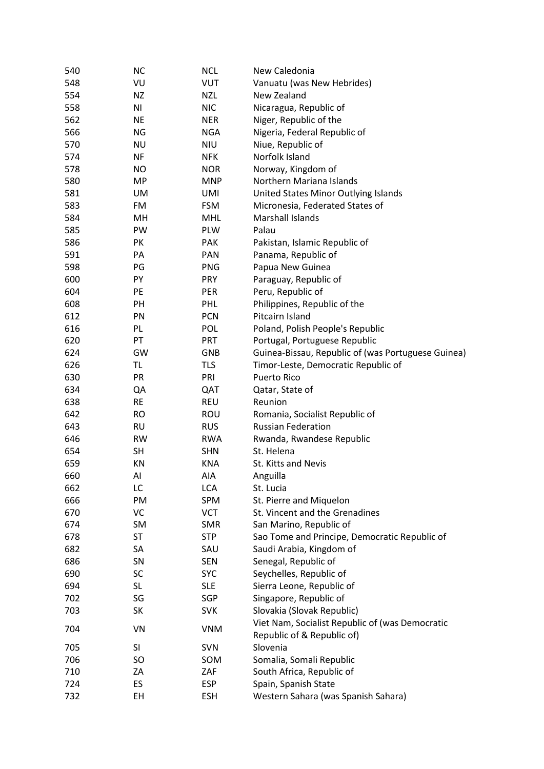| 540 | <b>NC</b>      | <b>NCL</b> | New Caledonia                                      |
|-----|----------------|------------|----------------------------------------------------|
| 548 | VU             | <b>VUT</b> | Vanuatu (was New Hebrides)                         |
| 554 | <b>NZ</b>      | <b>NZL</b> | New Zealand                                        |
| 558 | N <sub>1</sub> | <b>NIC</b> | Nicaragua, Republic of                             |
| 562 | <b>NE</b>      | <b>NER</b> | Niger, Republic of the                             |
| 566 | NG             | <b>NGA</b> | Nigeria, Federal Republic of                       |
| 570 | <b>NU</b>      | <b>NIU</b> | Niue, Republic of                                  |
| 574 | <b>NF</b>      | <b>NFK</b> | Norfolk Island                                     |
| 578 | <b>NO</b>      | <b>NOR</b> | Norway, Kingdom of                                 |
| 580 | <b>MP</b>      | <b>MNP</b> | Northern Mariana Islands                           |
| 581 | UM             | <b>UMI</b> | United States Minor Outlying Islands               |
| 583 | FM             | <b>FSM</b> | Micronesia, Federated States of                    |
| 584 | MН             | <b>MHL</b> | Marshall Islands                                   |
| 585 | PW             | PLW        | Palau                                              |
| 586 | PK             | <b>PAK</b> | Pakistan, Islamic Republic of                      |
| 591 | PA             | <b>PAN</b> | Panama, Republic of                                |
| 598 | PG             | <b>PNG</b> | Papua New Guinea                                   |
| 600 | PY             | PRY        | Paraguay, Republic of                              |
| 604 | PE             | PER        | Peru, Republic of                                  |
| 608 | PH             | <b>PHL</b> | Philippines, Republic of the                       |
| 612 | PN             | <b>PCN</b> | Pitcairn Island                                    |
| 616 | PL             | POL        | Poland, Polish People's Republic                   |
| 620 | PT             | PRT        | Portugal, Portuguese Republic                      |
| 624 | GW             | <b>GNB</b> | Guinea-Bissau, Republic of (was Portuguese Guinea) |
| 626 | <b>TL</b>      | <b>TLS</b> | Timor-Leste, Democratic Republic of                |
| 630 | PR             | PRI        | Puerto Rico                                        |
|     |                |            |                                                    |
| 634 | QA             | QAT        | Qatar, State of                                    |
| 638 | <b>RE</b>      | <b>REU</b> | Reunion                                            |
| 642 | <b>RO</b>      | <b>ROU</b> | Romania, Socialist Republic of                     |
| 643 | <b>RU</b>      | <b>RUS</b> | <b>Russian Federation</b>                          |
| 646 | <b>RW</b>      | <b>RWA</b> | Rwanda, Rwandese Republic                          |
| 654 | <b>SH</b>      | <b>SHN</b> | St. Helena                                         |
| 659 | KN             | <b>KNA</b> | St. Kitts and Nevis                                |
| 660 | Al             | AIA        | Anguilla                                           |
| 662 | LC             | <b>LCA</b> | St. Lucia                                          |
| 666 | PM             | SPM        | St. Pierre and Miquelon                            |
| 670 | VC             | <b>VCT</b> | St. Vincent and the Grenadines                     |
| 674 | SM             | <b>SMR</b> | San Marino, Republic of                            |
| 678 | <b>ST</b>      | <b>STP</b> | Sao Tome and Principe, Democratic Republic of      |
| 682 | SA             | SAU        | Saudi Arabia, Kingdom of                           |
| 686 | SN             | <b>SEN</b> | Senegal, Republic of                               |
| 690 | SC             | <b>SYC</b> | Seychelles, Republic of                            |
| 694 | <b>SL</b>      | <b>SLE</b> | Sierra Leone, Republic of                          |
| 702 | SG             | SGP        | Singapore, Republic of                             |
| 703 | SK             | <b>SVK</b> | Slovakia (Slovak Republic)                         |
| 704 | VN             | <b>VNM</b> | Viet Nam, Socialist Republic of (was Democratic    |
|     |                |            | Republic of & Republic of)                         |
| 705 | SI             | <b>SVN</b> | Slovenia                                           |
| 706 | SO             | SOM        | Somalia, Somali Republic                           |
| 710 | ZA             | ZAF        | South Africa, Republic of                          |
| 724 | ES             | <b>ESP</b> | Spain, Spanish State                               |
| 732 | EH             | <b>ESH</b> | Western Sahara (was Spanish Sahara)                |